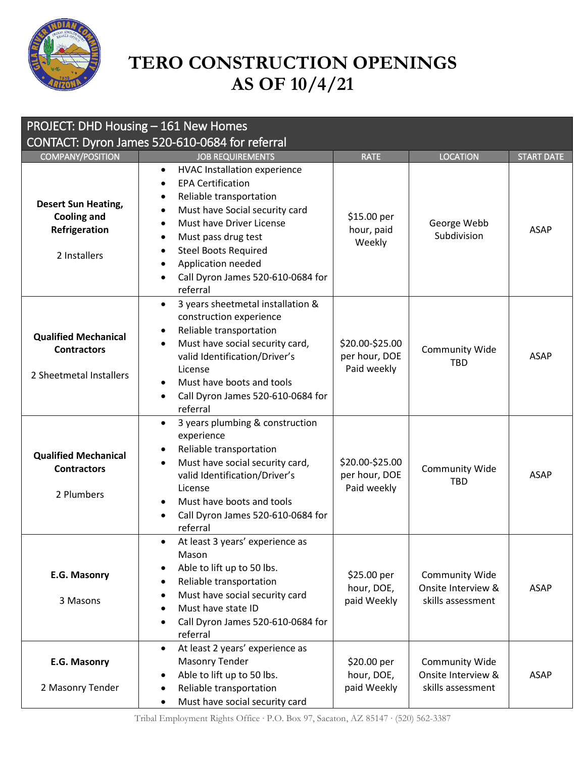

## **TERO CONSTRUCTION OPENINGS AS OF 10/4/21**

| PROJECT: DHD Housing - 161 New Homes                                              |                                                                                                                                                                                                                                                                                                                                        |                                                 |                                                           |                   |  |
|-----------------------------------------------------------------------------------|----------------------------------------------------------------------------------------------------------------------------------------------------------------------------------------------------------------------------------------------------------------------------------------------------------------------------------------|-------------------------------------------------|-----------------------------------------------------------|-------------------|--|
| CONTACT: Dyron James 520-610-0684 for referral                                    |                                                                                                                                                                                                                                                                                                                                        |                                                 |                                                           |                   |  |
| <b>COMPANY/POSITION</b>                                                           | <b>JOB REQUIREMENTS</b>                                                                                                                                                                                                                                                                                                                | <b>RATE</b>                                     | <b>LOCATION</b>                                           | <b>START DATE</b> |  |
| <b>Desert Sun Heating,</b><br><b>Cooling and</b><br>Refrigeration<br>2 Installers | <b>HVAC Installation experience</b><br>$\bullet$<br><b>EPA Certification</b><br>Reliable transportation<br>٠<br>Must have Social security card<br>$\bullet$<br>Must have Driver License<br>$\bullet$<br>Must pass drug test<br>٠<br><b>Steel Boots Required</b><br>Application needed<br>Call Dyron James 520-610-0684 for<br>referral | \$15.00 per<br>hour, paid<br>Weekly             | George Webb<br>Subdivision                                | <b>ASAP</b>       |  |
| <b>Qualified Mechanical</b><br><b>Contractors</b><br>2 Sheetmetal Installers      | 3 years sheetmetal installation &<br>$\bullet$<br>construction experience<br>Reliable transportation<br>٠<br>Must have social security card,<br>$\bullet$<br>valid Identification/Driver's<br>License<br>Must have boots and tools<br>Call Dyron James 520-610-0684 for<br>$\bullet$<br>referral                                       | \$20.00-\$25.00<br>per hour, DOE<br>Paid weekly | <b>Community Wide</b><br><b>TBD</b>                       | <b>ASAP</b>       |  |
| <b>Qualified Mechanical</b><br><b>Contractors</b><br>2 Plumbers                   | 3 years plumbing & construction<br>$\bullet$<br>experience<br>Reliable transportation<br>٠<br>Must have social security card,<br>$\bullet$<br>valid Identification/Driver's<br>License<br>Must have boots and tools<br>Call Dyron James 520-610-0684 for<br>referral                                                                   | \$20.00-\$25.00<br>per hour, DOE<br>Paid weekly | Community Wide<br><b>TBD</b>                              | <b>ASAP</b>       |  |
| E.G. Masonry<br>3 Masons                                                          | At least 3 years' experience as<br>$\bullet$<br>Mason<br>Able to lift up to 50 lbs.<br>Reliable transportation<br>$\bullet$<br>Must have social security card<br>Must have state ID<br>$\bullet$<br>Call Dyron James 520-610-0684 for<br>$\bullet$<br>referral                                                                         | \$25.00 per<br>hour, DOE,<br>paid Weekly        | Community Wide<br>Onsite Interview &<br>skills assessment | <b>ASAP</b>       |  |
| E.G. Masonry<br>2 Masonry Tender                                                  | At least 2 years' experience as<br>$\bullet$<br>Masonry Tender<br>Able to lift up to 50 lbs.<br>Reliable transportation<br>Must have social security card<br>$\bullet$                                                                                                                                                                 | \$20.00 per<br>hour, DOE,<br>paid Weekly        | Community Wide<br>Onsite Interview &<br>skills assessment | <b>ASAP</b>       |  |

Tribal Employment Rights Office ∙ P.O. Box 97, Sacaton, AZ 85147 ∙ (520) 562-3387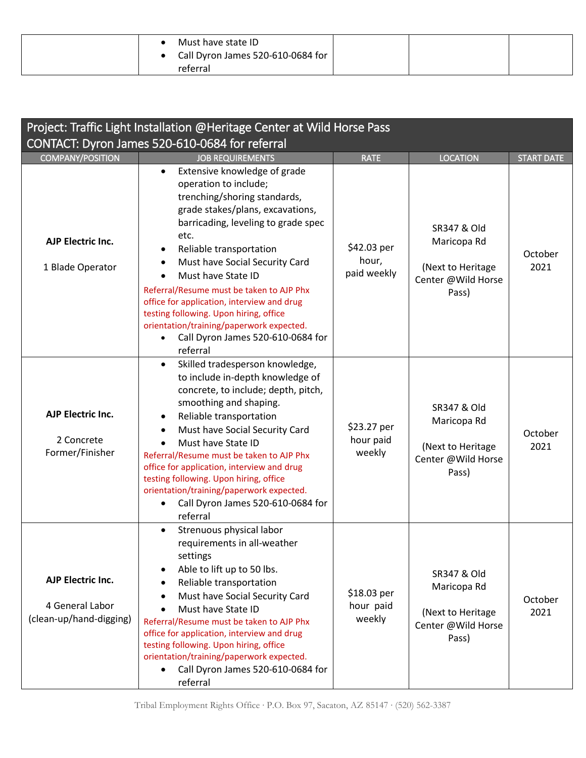| Must have state ID<br>• Call Dyron James 520-610-0684 for<br>referral |  |  |
|-----------------------------------------------------------------------|--|--|
|-----------------------------------------------------------------------|--|--|

| Project: Traffic Light Installation @Heritage Center at Wild Horse Pass |                                                                                                                                                                                                                                                                                                                                                                                                                                                                                                                        |                                     |                                                                                           |                   |  |
|-------------------------------------------------------------------------|------------------------------------------------------------------------------------------------------------------------------------------------------------------------------------------------------------------------------------------------------------------------------------------------------------------------------------------------------------------------------------------------------------------------------------------------------------------------------------------------------------------------|-------------------------------------|-------------------------------------------------------------------------------------------|-------------------|--|
| CONTACT: Dyron James 520-610-0684 for referral                          |                                                                                                                                                                                                                                                                                                                                                                                                                                                                                                                        |                                     |                                                                                           |                   |  |
| <b>COMPANY/POSITION</b>                                                 | <b>JOB REQUIREMENTS</b>                                                                                                                                                                                                                                                                                                                                                                                                                                                                                                | <b>RATE</b>                         | <b>LOCATION</b>                                                                           | <b>START DATE</b> |  |
| <b>AJP Electric Inc.</b><br>1 Blade Operator                            | Extensive knowledge of grade<br>$\bullet$<br>operation to include;<br>trenching/shoring standards,<br>grade stakes/plans, excavations,<br>barricading, leveling to grade spec<br>etc.<br>Reliable transportation<br>Must have Social Security Card<br>Must have State ID<br>$\bullet$<br>Referral/Resume must be taken to AJP Phx<br>office for application, interview and drug<br>testing following. Upon hiring, office<br>orientation/training/paperwork expected.<br>Call Dyron James 520-610-0684 for<br>referral | \$42.03 per<br>hour,<br>paid weekly | <b>SR347 &amp; Old</b><br>Maricopa Rd<br>(Next to Heritage<br>Center @Wild Horse<br>Pass) | October<br>2021   |  |
| AJP Electric Inc.<br>2 Concrete<br>Former/Finisher                      | Skilled tradesperson knowledge,<br>to include in-depth knowledge of<br>concrete, to include; depth, pitch,<br>smoothing and shaping.<br>Reliable transportation<br>Must have Social Security Card<br>Must have State ID<br>Referral/Resume must be taken to AJP Phx<br>office for application, interview and drug<br>testing following. Upon hiring, office<br>orientation/training/paperwork expected.<br>Call Dyron James 520-610-0684 for<br>referral                                                               | \$23.27 per<br>hour paid<br>weekly  | <b>SR347 &amp; Old</b><br>Maricopa Rd<br>(Next to Heritage<br>Center @Wild Horse<br>Pass) | October<br>2021   |  |
| AJP Electric Inc.<br>4 General Labor<br>(clean-up/hand-digging)         | Strenuous physical labor<br>requirements in all-weather<br>settings<br>Able to lift up to 50 lbs.<br>Reliable transportation<br>$\bullet$<br>Must have Social Security Card<br>Must have State ID<br>Referral/Resume must be taken to AJP Phx<br>office for application, interview and drug<br>testing following. Upon hiring, office<br>orientation/training/paperwork expected.<br>Call Dyron James 520-610-0684 for<br>referral                                                                                     | \$18.03 per<br>hour paid<br>weekly  | <b>SR347 &amp; Old</b><br>Maricopa Rd<br>(Next to Heritage<br>Center @Wild Horse<br>Pass) | October<br>2021   |  |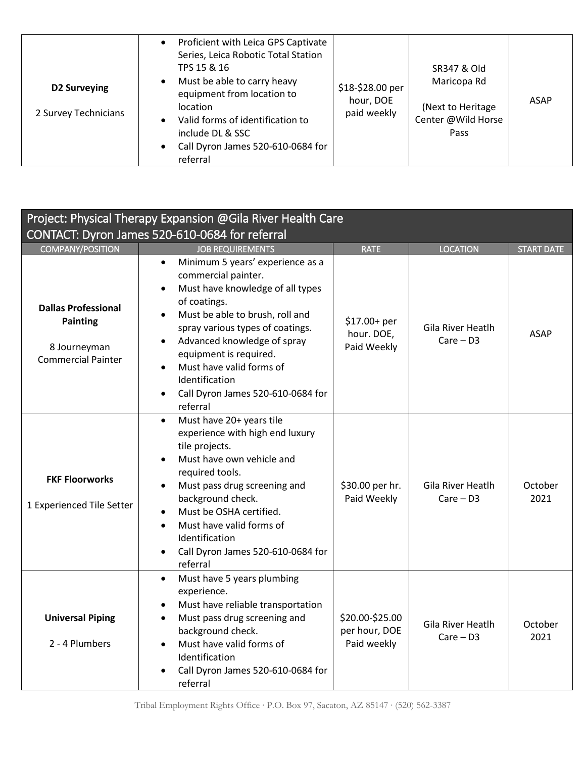| D2 Surveying<br>2 Survey Technicians | Proficient with Leica GPS Captivate<br>Series, Leica Robotic Total Station<br>TPS 15 & 16<br>Must be able to carry heavy<br>$\bullet$<br>equipment from location to<br><i>location</i><br>Valid forms of identification to<br>$\bullet$<br>include DL & SSC<br>Call Dyron James 520-610-0684 for<br>$\bullet$<br>referral | \$18-\$28.00 per<br>hour, DOE<br>paid weekly | SR347 & Old<br>Maricopa Rd<br>(Next to Heritage<br>Center @Wild Horse<br>Pass | ASAP |
|--------------------------------------|---------------------------------------------------------------------------------------------------------------------------------------------------------------------------------------------------------------------------------------------------------------------------------------------------------------------------|----------------------------------------------|-------------------------------------------------------------------------------|------|
|--------------------------------------|---------------------------------------------------------------------------------------------------------------------------------------------------------------------------------------------------------------------------------------------------------------------------------------------------------------------------|----------------------------------------------|-------------------------------------------------------------------------------|------|

| Project: Physical Therapy Expansion @Gila River Health Care                                |                                                                                                                                                                                                                                                                                                                                                                                   |                                                 |                                         |                   |  |
|--------------------------------------------------------------------------------------------|-----------------------------------------------------------------------------------------------------------------------------------------------------------------------------------------------------------------------------------------------------------------------------------------------------------------------------------------------------------------------------------|-------------------------------------------------|-----------------------------------------|-------------------|--|
| CONTACT: Dyron James 520-610-0684 for referral                                             |                                                                                                                                                                                                                                                                                                                                                                                   |                                                 |                                         |                   |  |
| <b>COMPANY/POSITION</b>                                                                    | <b>JOB REQUIREMENTS</b>                                                                                                                                                                                                                                                                                                                                                           | <b>RATE</b>                                     | <b>LOCATION</b>                         | <b>START DATE</b> |  |
| <b>Dallas Professional</b><br><b>Painting</b><br>8 Journeyman<br><b>Commercial Painter</b> | Minimum 5 years' experience as a<br>$\bullet$<br>commercial painter.<br>Must have knowledge of all types<br>of coatings.<br>Must be able to brush, roll and<br>$\bullet$<br>spray various types of coatings.<br>Advanced knowledge of spray<br>equipment is required.<br>Must have valid forms of<br>$\bullet$<br>Identification<br>Call Dyron James 520-610-0684 for<br>referral | \$17.00+ per<br>hour. DOE,<br>Paid Weekly       | <b>Gila River Heatlh</b><br>$Care - D3$ | <b>ASAP</b>       |  |
| <b>FKF Floorworks</b><br>1 Experienced Tile Setter                                         | Must have 20+ years tile<br>$\bullet$<br>experience with high end luxury<br>tile projects.<br>Must have own vehicle and<br>required tools.<br>Must pass drug screening and<br>background check.<br>Must be OSHA certified.<br>Must have valid forms of<br>Identification<br>Call Dyron James 520-610-0684 for<br>referral                                                         | \$30.00 per hr.<br>Paid Weekly                  | <b>Gila River Heatlh</b><br>$Care - D3$ | October<br>2021   |  |
| <b>Universal Piping</b><br>2 - 4 Plumbers                                                  | Must have 5 years plumbing<br>$\bullet$<br>experience.<br>Must have reliable transportation<br>Must pass drug screening and<br>$\bullet$<br>background check.<br>Must have valid forms of<br>Identification<br>Call Dyron James 520-610-0684 for<br>referral                                                                                                                      | \$20.00-\$25.00<br>per hour, DOE<br>Paid weekly | <b>Gila River Heatlh</b><br>$Care - D3$ | October<br>2021   |  |